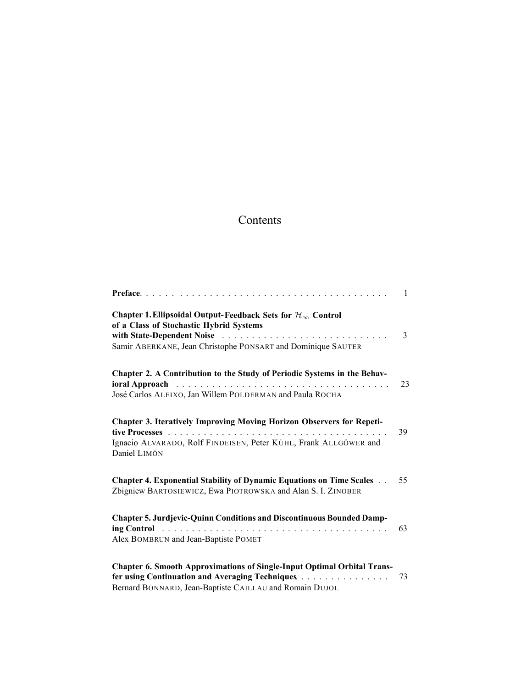## Contents

|                                                                                                                                                                                                                                                                                                                                                                        | $\mathbf{1}$ |
|------------------------------------------------------------------------------------------------------------------------------------------------------------------------------------------------------------------------------------------------------------------------------------------------------------------------------------------------------------------------|--------------|
| Chapter 1. Ellipsoidal Output-Feedback Sets for $\mathcal{H}_{\infty}$ Control<br>of a Class of Stochastic Hybrid Systems<br>with State-Dependent Noise<br>Samir ABERKANE, Jean Christophe PONSART and Dominique SAUTER                                                                                                                                                | 3            |
| Chapter 2. A Contribution to the Study of Periodic Systems in the Behav-<br>ioral Approach and the contract of the contract of the contract of the contract of the contract of the contract of the contract of the contract of the contract of the contract of the contract of the contract of the contrac<br>José Carlos ALEIXO, Jan Willem POLDERMAN and Paula ROCHA | 23           |
| <b>Chapter 3. Iteratively Improving Moving Horizon Observers for Repeti-</b><br>Ignacio ALVARADO, Rolf FINDEISEN, Peter KÜHL, Frank ALLGÖWER and<br>Daniel LIMÓN                                                                                                                                                                                                       | 39           |
| Chapter 4. Exponential Stability of Dynamic Equations on Time Scales<br>Zbigniew BARTOSIEWICZ, Ewa PIOTROWSKA and Alan S. I. ZINOBER                                                                                                                                                                                                                                   | 55           |
| <b>Chapter 5. Jurdjevic-Quinn Conditions and Discontinuous Bounded Damp-</b><br>ing Control descriptions of the control of the control of the control of the control of the control of the control of the control of the control of the control of the control of the control of the control of the control of<br>Alex BOMBRUN and Jean-Baptiste POMET                 | 63           |
| <b>Chapter 6. Smooth Approximations of Single-Input Optimal Orbital Trans-</b><br>fer using Continuation and Averaging Techniques<br>Bernard BONNARD, Jean-Baptiste CAILLAU and Romain DUJOL                                                                                                                                                                           | 73           |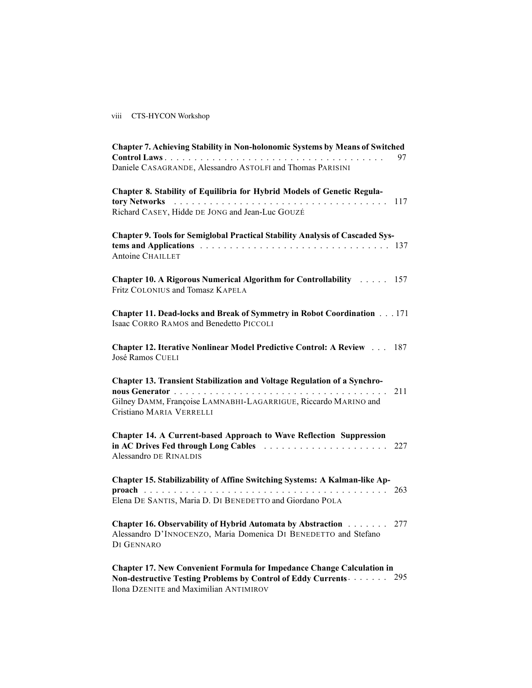## viii CTS-HYCON Workshop

| Chapter 7. Achieving Stability in Non-holonomic Systems by Means of Switched<br>97                                                                                                              |
|-------------------------------------------------------------------------------------------------------------------------------------------------------------------------------------------------|
| Daniele CASAGRANDE, Alessandro ASTOLFI and Thomas PARISINI                                                                                                                                      |
| Chapter 8. Stability of Equilibria for Hybrid Models of Genetic Regula-<br>tory Networks Alberta Alberta Alberta Alberta Alberta Alberta Alberta Alberta Alberta Alberta Alberta Alberta<br>117 |
| Richard CASEY, Hidde DE JONG and Jean-Luc GOUZÉ                                                                                                                                                 |
| Chapter 9. Tools for Semiglobal Practical Stability Analysis of Cascaded Sys-<br><b>Antoine CHAILLET</b>                                                                                        |
| Chapter 10. A Rigorous Numerical Algorithm for Controllability 157<br>Fritz COLONIUS and Tomasz KAPELA                                                                                          |
| Chapter 11. Dead-locks and Break of Symmetry in Robot Coordination 171<br>Isaac CORRO RAMOS and Benedetto PICCOLI                                                                               |
| Chapter 12. Iterative Nonlinear Model Predictive Control: A Review 187<br>José Ramos CUELI                                                                                                      |
| Chapter 13. Transient Stabilization and Voltage Regulation of a Synchro-<br>211                                                                                                                 |
| Gilney DAMM, Françoise LAMNABHI-LAGARRIGUE, Riccardo MARINO and<br>Cristiano MARIA VERRELLI                                                                                                     |
| Chapter 14. A Current-based Approach to Wave Reflection Suppression<br>in AC Drives Fed through Long Cables<br>227<br>Alessandro DE RINALDIS                                                    |
| Chapter 15. Stabilizability of Affine Switching Systems: A Kalman-like Ap-                                                                                                                      |
| Elena DE SANTIS, Maria D. DI BENEDETTO and Giordano POLA                                                                                                                                        |
| Chapter 16. Observability of Hybrid Automata by Abstraction 277<br>Alessandro D'INNOCENZO, Maria Domenica DI BENEDETTO and Stefano<br>DI GENNARO                                                |
| Chapter 17. New Convenient Formula for Impedance Change Calculation in<br>Non-destructive Testing Problems by Control of Eddy Currents 295<br>Ilona DZENITE and Maximilian ANTIMIROV            |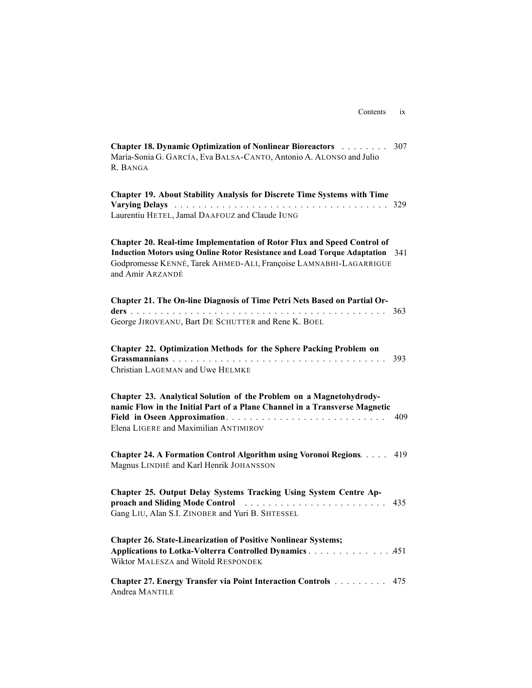| Contents | 1X |
|----------|----|
|          |    |

| <b>Chapter 18. Dynamic Optimization of Nonlinear Bioreactors Actual Library Chapter 18. Dynamic Optimization of Nonlinear Bioreactors</b><br>307<br>María-Sonia G. GARCÍA, Eva BALSA-CANTO, Antonio A. ALONSO and Julio<br>R. BANGA                                                                                                                            |
|----------------------------------------------------------------------------------------------------------------------------------------------------------------------------------------------------------------------------------------------------------------------------------------------------------------------------------------------------------------|
| Chapter 19. About Stability Analysis for Discrete Time Systems with Time<br>Laurentiu HETEL, Jamal DAAFOUZ and Claude IUNG                                                                                                                                                                                                                                     |
| Chapter 20. Real-time Implementation of Rotor Flux and Speed Control of<br><b>Induction Motors using Online Rotor Resistance and Load Torque Adaptation</b><br>341<br>Godpromesse KENNÉ, Tarek AHMED-ALI, Françoise LAMNABHI-LAGARRIGUE<br>and Amir ARZANDÉ                                                                                                    |
| Chapter 21. The On-line Diagnosis of Time Petri Nets Based on Partial Or-<br>363                                                                                                                                                                                                                                                                               |
| George JIROVEANU, Bart DE SCHUTTER and Rene K. BOEL                                                                                                                                                                                                                                                                                                            |
| Chapter 22. Optimization Methods for the Sphere Packing Problem on<br>393<br>Christian LAGEMAN and Uwe HELMKE                                                                                                                                                                                                                                                  |
| Chapter 23. Analytical Solution of the Problem on a Magnetohydrody-<br>namic Flow in the Initial Part of a Plane Channel in a Transverse Magnetic<br>409<br>Elena LIGERE and Maximilian ANTIMIROV                                                                                                                                                              |
| Chapter 24. A Formation Control Algorithm using Voronoi Regions.<br>419<br>Magnus LINDHÉ and Karl Henrik JOHANSSON                                                                                                                                                                                                                                             |
| Chapter 25. Output Delay Systems Tracking Using System Centre Ap-<br>proach and Sliding Mode Control enterstanding to the control of the Control enterstanding to the control of the control of the control of the control of the control of the control of the control of the control of the contr<br>435<br>Gang LIU, Alan S.I. ZINOBER and Yuri B. SHTESSEL |
| <b>Chapter 26. State-Linearization of Positive Nonlinear Systems;</b><br>Applications to Lotka-Volterra Controlled Dynamics 451<br>Wiktor MALESZA and Witold RESPONDEK                                                                                                                                                                                         |
| <b>Chapter 27. Energy Transfer via Point Interaction Controls</b><br>475<br>Andrea MANTILE                                                                                                                                                                                                                                                                     |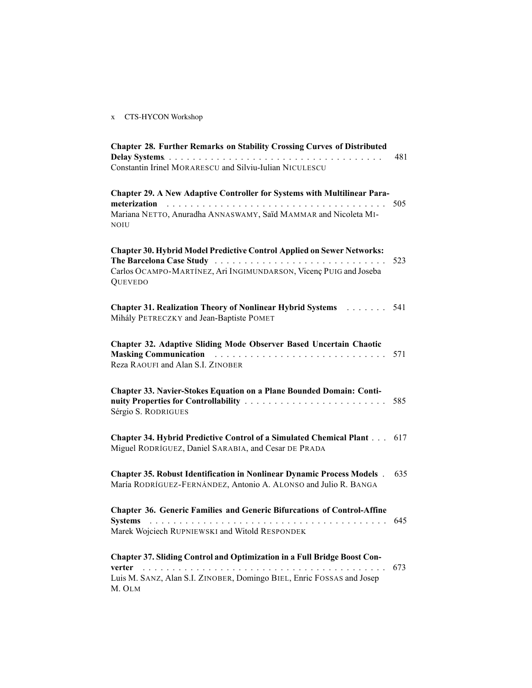## x CTS-HYCON Workshop

| <b>Chapter 28. Further Remarks on Stability Crossing Curves of Distributed</b>                                                                                                                                                                                                                                                           | 481 |
|------------------------------------------------------------------------------------------------------------------------------------------------------------------------------------------------------------------------------------------------------------------------------------------------------------------------------------------|-----|
| Constantin Irinel MORARESCU and Silviu-Iulian NICULESCU                                                                                                                                                                                                                                                                                  |     |
| Chapter 29. A New Adaptive Controller for Systems with Multilinear Para-<br>meterization<br>Mariana NETTO, Anuradha ANNASWAMY, Saïd MAMMAR and Nicoleta MI-<br><b>NOIU</b>                                                                                                                                                               | 505 |
| Chapter 30. Hybrid Model Predictive Control Applied on Sewer Networks:                                                                                                                                                                                                                                                                   | 523 |
| Carlos OCAMPO-MARTÍNEZ, Ari INGIMUNDARSON, Vicenç PUIG and Joseba<br><b>QUEVEDO</b>                                                                                                                                                                                                                                                      |     |
| <b>Chapter 31. Realization Theory of Nonlinear Hybrid Systems</b> 541<br>Mihály PETRECZKY and Jean-Baptiste POMET                                                                                                                                                                                                                        |     |
| Chapter 32. Adaptive Sliding Mode Observer Based Uncertain Chaotic<br>Masking Communication et al., and a series of the contract of the contract of the contract of the contract of the contract of the contract of the contract of the contract of the contract of the contract of the contract of<br>Reza RAOUFI and Alan S.I. ZINOBER | 571 |
| Chapter 33. Navier-Stokes Equation on a Plane Bounded Domain: Conti-<br>nuity Properties for Controllability<br>Sérgio S. RODRIGUES                                                                                                                                                                                                      | 585 |
| Chapter 34. Hybrid Predictive Control of a Simulated Chemical Plant 617<br>Miguel RODRÍGUEZ, Daniel SARABIA, and Cesar DE PRADA                                                                                                                                                                                                          |     |
| <b>Chapter 35. Robust Identification in Nonlinear Dynamic Process Models</b> .<br>María RODRÍGUEZ-FERNÁNDEZ, Antonio A. ALONSO and Julio R. BANGA                                                                                                                                                                                        | 635 |
| Chapter 36. Generic Families and Generic Bifurcations of Control-Affine                                                                                                                                                                                                                                                                  | 645 |
| Marek Wojciech RUPNIEWSKI and Witold RESPONDEK                                                                                                                                                                                                                                                                                           |     |
| Chapter 37. Sliding Control and Optimization in a Full Bridge Boost Con-<br>verter<br>.                                                                                                                                                                                                                                                  | 673 |
| Luis M. SANZ, Alan S.I. ZINOBER, Domingo BIEL, Enric FOSSAS and Josep<br>M. OLM                                                                                                                                                                                                                                                          |     |